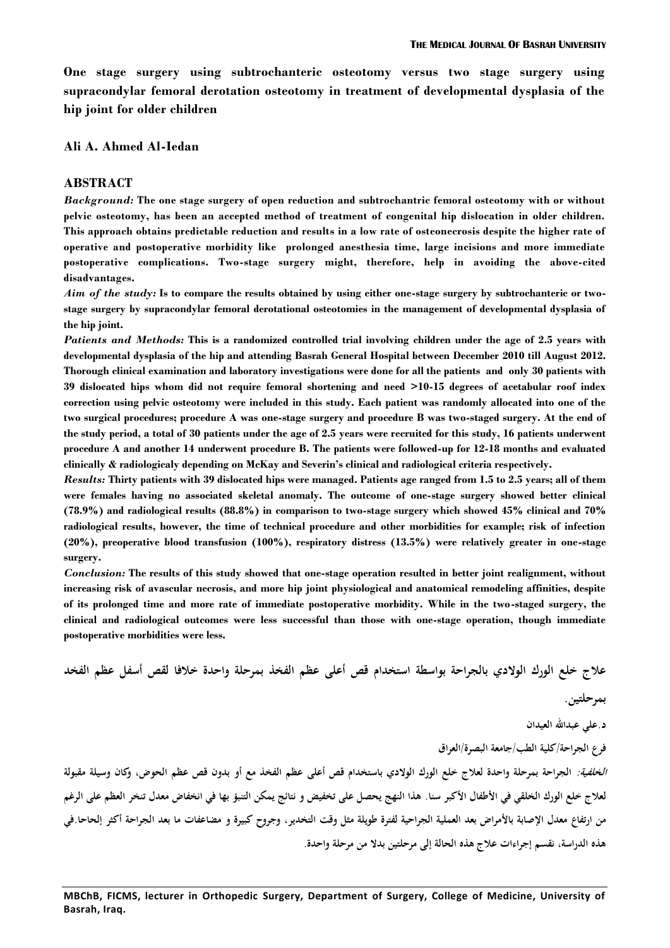**One stage surgery using subtrochanteric osteotomy versus two stage surgery using supracondylar femoral derotation osteotomy in treatment of developmental dysplasia of the hip joint for older children**

#### **Ali A. Ahmed Al-Iedan**

#### **ABSTRACT**

*Background:* **The one stage surgery of open reduction and subtrochantric femoral osteotomy with or without pelvic osteotomy, has been an accepted method of treatment of congenital hip dislocation in older children. This approach obtains predictable reduction and results in a low rate of osteonecrosis despite the higher rate of operative and postoperative morbidity like prolonged anesthesia time, large incisions and more immediate postoperative complications. Two-stage surgery might, therefore, help in avoiding the above-cited disadvantages.**

*Aim of the study:* **Is to compare the results obtained by using either one-stage surgery by subtrochanteric or twostage surgery by supracondylar femoral derotational osteotomies in the management of developmental dysplasia of the hip joint.**

*Patients and Methods:* **This is a randomized controlled trial involving children under the age of 2.5 years with developmental dysplasia of the hip and attending Basrah General Hospital between December 2010 till August 2012. Thorough clinical examination and laboratory investigations were done for all the patients and only 30 patients with 39 dislocated hips whom did not require femoral shortening and need >10-15 degrees of acetabular roof index correction using pelvic osteotomy were included in this study. Each patient was randomly allocated into one of the two surgical procedures; procedure A was one-stage surgery and procedure B was two-staged surgery. At the end of the study period, a total of 30 patients under the age of 2.5 years were recruited for this study, 16 patients underwent procedure A and another 14 underwent procedure B. The patients were followed-up for 12-18 months and evaluated clinically & radiologicaly depending on McKay and Severin's clinical and radiological criteria respectively.**

*Results:* **Thirty patients with 39 dislocated hips were managed. Patients age ranged from 1.5 to 2.5 years; all of them were females having no associated skeletal anomaly. The outcome of one-stage surgery showed better clinical (78.9%) and radiological results (88.8%) in comparison to two-stage surgery which showed 45% clinical and 70% radiological results, however, the time of technical procedure and other morbidities for example; risk of infection (20%), preoperative blood transfusion (100%), respiratory distress (13.5%) were relatively greater in one-stage surgery.**

*Conclusion:* **The results of this study showed that one-stage operation resulted in better joint realignment, without increasing risk of avascular necrosis, and more hip joint physiological and anatomical remodeling affinities, despite of its prolonged time and more rate of immediate postoperative morbidity. While in the two-staged surgery, the clinical and radiological outcomes were less successful than those with one-stage operation, though immediate postoperative morbidities were less.**

**علاج خلع الورك الولادي بالجراحة بواسطة استخدام قص أعلى عظم الفخذ بمرحلة واحدة خلافا لقص أسفل عظم الفخد بمرحلتين.**

**د.علي عبداالله العيدان** 

**فرع الجراحة/كلية الطب/جامعة البصرة/العراق**

*الخلفية:* **الجراحة بمرحلة واحدة لعلاج خلع الورك الولادي باستخدام قص أعلى عظم الفخذ مع أو بدون قص عظم الحوض، وكان وسيلة مقبولة لعلاج خلع الو رك الخلقي في الأطفال الأكبر سنا. هذا النهج يحصل على تخفيض و نتائج يمكن التنبؤ بها في انخفاض معدل تنخر العظم على الرغم من ارتفاع معدل الإصابة بالأمراض بعد العملية الجراحية لفترة طويلة مثل وقت التخدير، وجروح كبيرة و مضاعفات ما بعد الجراحة أكثر إلحاحا.في هذه الدراسة، نقسم إجراءات علاج هذه الحالة إلى مرحلتين بدلا من مرحلة واحدة.**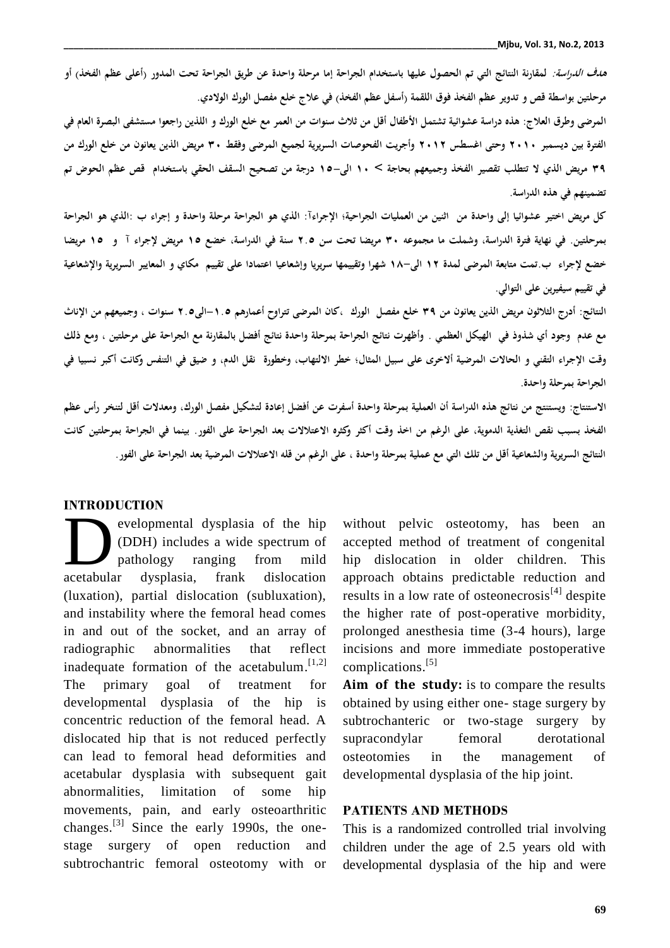*هدف الدراسة:* لمقارنة النتائج التي تم الحصول عليها باستخدام الجراحة إما مرحلة واحدة عن طريق الجراحة تحت المدور رأعلى عظم الفخذ) أو<br>مرحلتين بواسطة قص و تدوير عظم الفخذ فوق اللقمة رأسفل عظم الفخذ) في علاج خلع مفصل الورك ال **المرضى وطرق العلاج: هذه دراسة عشوائية تشتمل الأطفال أقل من ثلاث سنوات من العمر مع خلع الورك و اللذين راجعوا مستشفى البصرة العام في الفترة بين ديسمبر ٢٠١٠ وحتى اغسطس ٢٠١٢ وأجريت الفحوصات السريرية لجميع المرضى وفقط ٣٠ مريض الذين يعانون من خلع الورك من ٣٩ مريض الذي لا تتطلب تقصير الفخذ وجميعهم بحاجة > ١٠ الى١٥- درجة من تصحيح السقف الحقي باستخدام قص عظم الحوض تم تضمينهم في هذه الدراسة.**

**كل مريض اختير عشوائيا إلى واحدة من اثنين من العمليات الجراحية؛ الإجراءآ: الذي هو الجراحة مرحلة واحدة و إجراء ب :الذي هو الجراحة بمرحلتين. في نهاية فترة الدراسة، و شملت ما مجموعه ٣٠ مريضا تحت سن ٢.٥ سنة في الدراسة، خضع ١٥ مريض لإجراء آ و ١٥ مريضا خضع لإجراء ب.تمت متابعة المرضى لمدة ١٢ الى١٨- شهرا وتقييمها سريريا وإشعاعيا اعتمادا على تقييم مكاي و المعايير السريرية والإشعاعية في تقييم سيفيرين على التوالي.**

**النتائج: أدرج الثلاثون مريض الذين يعانون من ٣٩ خلع مفصل الورك ،كان المرضى تتراوح أعمارهم -١.٥الى٢.٥ سنوات ، وجميعهم من الإناث مع عدم وجود أي شذوذ في الهيكل العظمي . وأظهرت نتائج الجراحة بمرحلة واحدة نتائج أفضل بالمقارنة مع الجراحة على مرحلتين ، ومع ذلك وقت الإجراء التقني و الحالات المرضية ألاخرى على سبيل المثال؛ خطر الالتهاب، و خطورة نقل الدم، و ضيق في التنفس وكانت أكبر نسبيا في الجراحة بمرحلة واحدة.**

**الاستنتاج: ويستنتج من نتائج هذه الدراسة أن العملية بمرحلة واحدة أسفرت عن أفضل إعادة لتشكيل مفصل الورك، ومعدلات أقل لتنخر رأس عظم الفخذ بسبب نقص التغذية الدموية، على الرغم من اخذ وقت أكثر وكثره الاعتلالات بعد الجراحة على الفور. بينما في الجراحة بمرحلتين كانت النتائج السريرية والشعاعية أقل من تلك التي مع عملية بمرحلة واحدة ، على الرغم من قله الاعتلالات المر ضية بعد الجراحة على الفور.**

### **INTRODUCTION**

evelopmental dysplasia of the hip (DDH) includes a wide spectrum of pathology ranging from mild dysplasia, frank dislocation (luxation), partial dislocation (subluxation), and instability where the femoral head comes in and out of the socket, and an array of radiographic abnormalities that reflect inadequate formation of the acetabulum.<sup>[1,2]</sup> c The primary goal of treatment for developmental dysplasia of the hip is concentric reduction of the femoral head. A dislocated hip that is not reduced perfectly can lead to femoral head deformities and acetabular dysplasia with subsequent gait abnormalities, limitation of some hip movements, pain, and early osteoarthritic changes.<sup>[3]</sup> Since the early 1990s, the one- Th stage surgery of open reduction and subtrochantric femoral osteotomy with or acetabular

without pelvic osteotomy, has been an accepted method of treatment of congenital hip dislocation in older children. This approach obtains predictable reduction and results in a low rate of osteonecrosis $^{[4]}$  despite the higher rate of post-operative morbidity, prolonged anesthesia time (3-4 hours), large incisions and more immediate postoperative complications. [5]

**Aim of the study:** is to compare the results obtained by using either one- stage surgery by subtrochanteric or two-stage surgery by supracondylar femoral derotational in the management of developmental dysplasia of the hip joint.

### **PATIENTS AND METHODS**

This is a randomized controlled trial involving children under the age of 2.5 years old with developmental dysplasia of the hip and were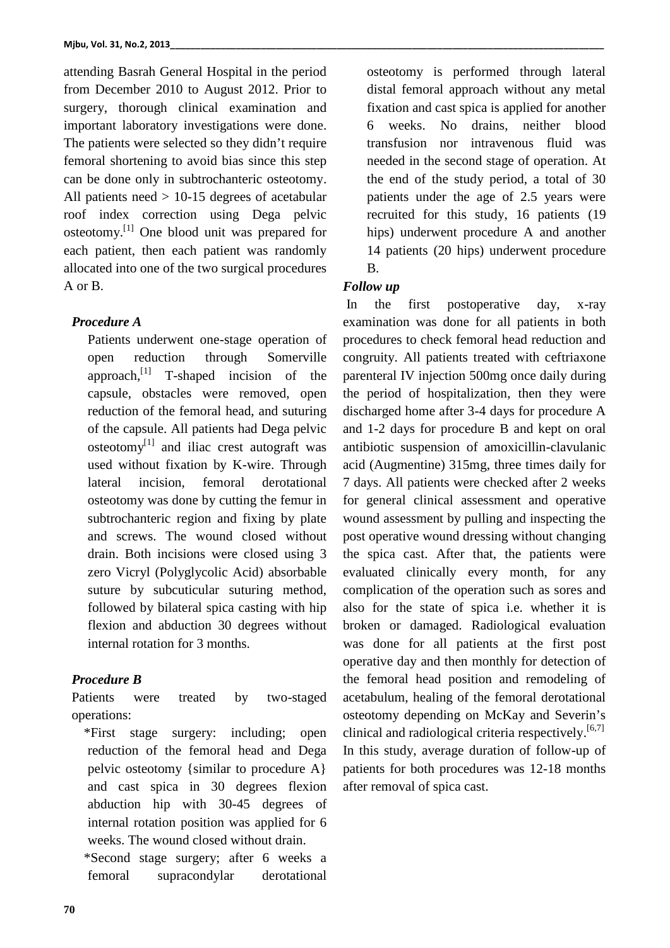attending Basrah General Hospital in the period from December 2010 to August 2012. Prior to surgery, thorough clinical examination and important laboratory investigations were done. The patients were selected so they didn't require femoral shortening to avoid bias since this step can be done only in subtrochanteric osteotomy. All patients need > 10-15 degrees of acetabular roof index correction using Dega pelvic osteotomy. [1] One blood unit was prepared for each patient, then each patient was randomly allocated into one of the two surgical procedures A or B.

### *Procedure A*

Patients underwent one-stage operation of open reduction through Somerville approach,<sup>[1]</sup> T-shaped incision of the paren capsule, obstacles were removed, open reduction of the femoral head, and suturing of the capsule. All patients had Dega pelvic  $osteotomy<sup>[1]</sup>$  and iliac crest autograft was used without fixation by K-wire. Through lateral incision, femoral derotational osteotomy was done by cutting the femur in subtrochanteric region and fixing by plate and screws. The wound closed without drain. Both incisions were closed using 3 zero Vicryl (Polyglycolic Acid) absorbable suture by subcuticular suturing method, followed by bilateral spica casting with hip flexion and abduction 30 degrees without internal rotation for 3 months.

## *Procedure B*

Patients were treated by two-staged operations:

\*First stage surgery: including; open reduction of the femoral head and Dega pelvic osteotomy {similar to procedure A} and cast spica in 30 degrees flexion abduction hip with 30-45 degrees of internal rotation position was applied for 6 weeks. The wound closed without drain.

\*Second stage surgery; after 6 weeks a femoral supracondylar derotational

osteotomy is performed through lateral distal femoral approach without any metal fixation and cast spica is applied for another 6 weeks. No drains, neither blood transfusion nor intravenous fluid was needed in the second stage of operation. At the end of the study period, a total of 30 patients under the age of 2.5 years were recruited for this study, 16 patients (19 hips) underwent procedure A and another 14 patients (20 hips) underwent procedure B.

## *Follow up*

In the first postoperative day, x-ray examination was done for all patients in both procedures to check femoral head reduction and congruity. All patients treated with ceftriaxone parenteral IV injection 500mg once daily during the period of hospitalization, then they were discharged home after 3-4 days for procedure A and 1-2 days for procedure B and kept on oral antibiotic suspension of amoxicillin-clavulanic acid (Augmentine) 315mg, three times daily for 7 days. All patients were checked after 2 weeks for general clinical assessment and operative wound assessment by pulling and inspecting the post operative wound dressing without changing the spica cast. After that, the patients were evaluated clinically every month, for any complication of the operation such as sores and also for the state of spica i.e. whether it is broken or damaged. Radiological evaluation was done for all patients at the first post operative day and then monthly for detection of the femoral head position and remodeling of acetabulum, healing of the femoral derotational osteotomy depending on McKay and Severin's clinical and radiological criteria respectively.<sup>[6,7]</sup> In this study, average duration of follow-up of patients for both procedures was 12-18 months after removal of spica cast.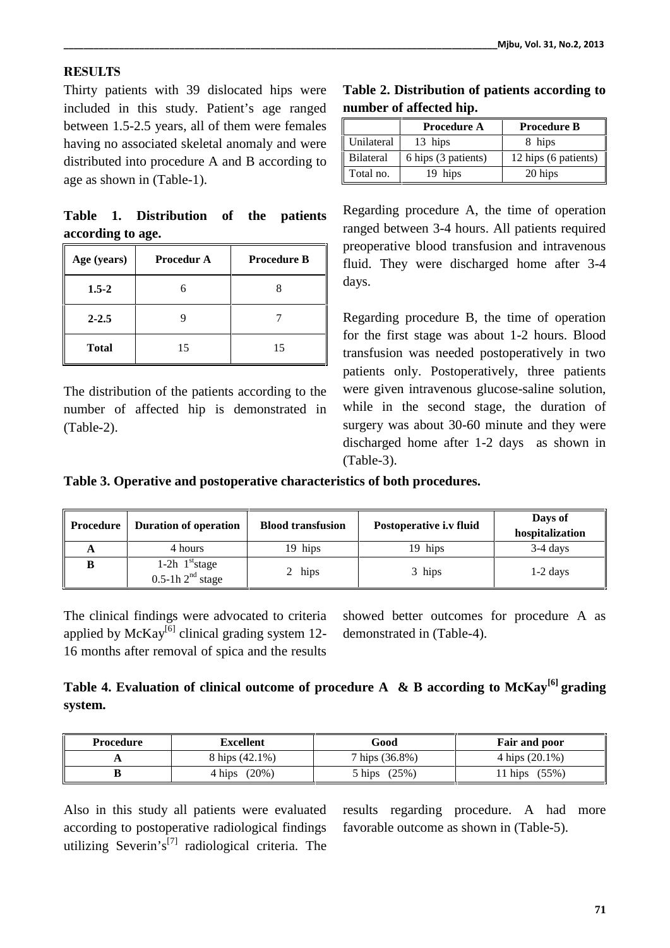## **RESULTS**

Thirty patients with 39 dislocated hips were included in this study. Patient's age ranged between 1.5-2.5 years, all of them were females having no associated skeletal anomaly and were distributed into procedure A and B according to age as shown in (Table-1).

**Table 1. Distribution of the patients according to age.**

| Age (years)  | <b>Procedur A</b> | <b>Procedure B</b> | preq<br>flui |
|--------------|-------------------|--------------------|--------------|
| $1.5 - 2$    |                   |                    | day          |
| $2 - 2.5$    |                   |                    | Reg          |
| <b>Total</b> | 15                | 15                 | for<br>tran  |

The distribution of the patients according to the number of affected hip is demonstrated in (Table-2).

**Table 2. Distribution of patients according to number of affected hip.**

|            | <b>Procedure A</b>  | <b>Procedure B</b>   |
|------------|---------------------|----------------------|
| Unilateral | 13 hips             | 8 hips               |
| Bilateral  | 6 hips (3 patients) | 12 hips (6 patients) |
| Total no.  | 19 hips             | 20 hips              |

Regarding procedure A, the time of operation ranged between 3-4 hours. All patients required preoperative blood transfusion and intravenous fluid. They were discharged home after 3-4 days.

Regarding procedure B, the time of operation for the first stage was about 1-2 hours. Blood transfusion was needed postoperatively in two patients only. Postoperatively, three patients were given intravenous glucose-saline solution, while in the second stage, the duration of surgery was about 30-60 minute and they were discharged home after 1-2 days as shown in (Table-3).

**Table 3. Operative and postoperative characteristics of both procedures.**

| <b>Procedure</b> | <b>Duration of operation</b>                           | <b>Blood transfusion</b> | Postoperative i.v fluid | Days of<br>hospitalization |
|------------------|--------------------------------------------------------|--------------------------|-------------------------|----------------------------|
| A                | 4 hours                                                | 19 hips                  | 19 hips                 | $3-4$ days                 |
|                  | 1-2 $h$ 1 <sup>st</sup> stage<br>$0.5$ -1h $2nd$ stage | 2 hips                   | 3 hips                  | $1-2$ days                 |

The clinical findings were advocated to criteria applied by  $McKay<sup>[6]</sup>$  clinical grading system 12-16 months after removal of spica and the results

showed better outcomes for procedure A as demonstrated in (Table-4).

# **Table 4. Evaluation of clinical outcome of procedure A & B according to McKay[6] grading system.**

| Procedure | <b>Excellent</b>   | Good                           | <b>Fair and poor</b>           |
|-----------|--------------------|--------------------------------|--------------------------------|
|           | 8 hips (42.1%)     | $7 \; \text{hips} \; (36.8\%)$ | $4 \; \text{hips} \; (20.1\%)$ |
|           | $(20\%)$<br>4 hips | (25%)<br>5 hips                | 11 hips (55%)                  |

Also in this study all patients were evaluated according to postoperative radiological findings utilizing Severin's<sup>[7]</sup> radiological criteria. The

results regarding procedure. A had more favorable outcome as shown in (Table-5).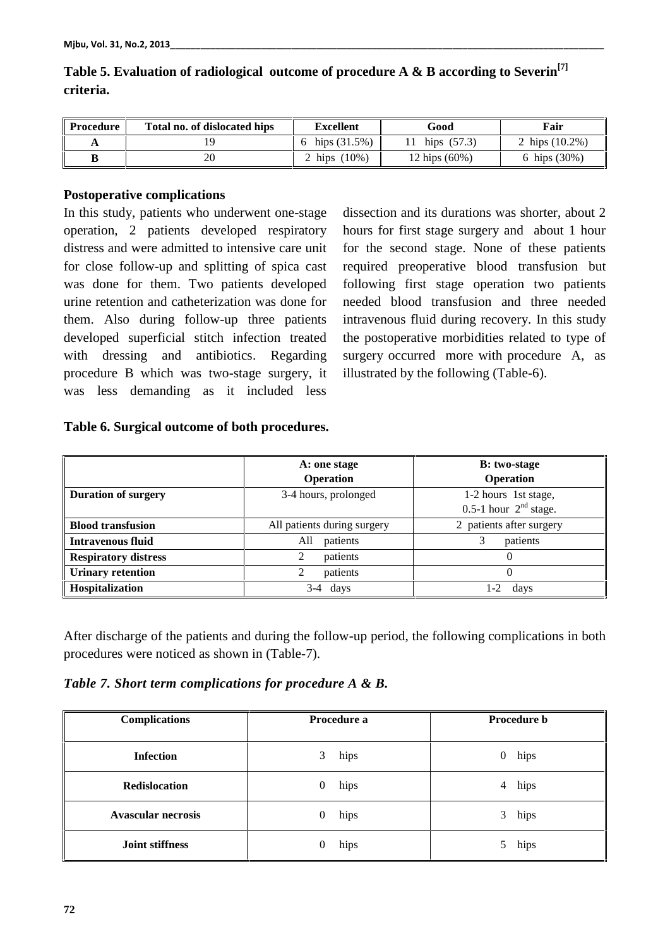| <b>Procedure</b> | Total no. of dislocated hips | <b>Excellent</b> | Good          | Fair              |
|------------------|------------------------------|------------------|---------------|-------------------|
|                  |                              | hips $(31.5%)$   | hips $(57.3)$ | 2 hips $(10.2\%)$ |
|                  | 20                           | $(10\%)$<br>hips | 12 hips (60%) | 6 hips (30%)      |

# **Table 5. Evaluation of radiological outcome of procedure A & B according to Severin[7] criteria.**

### **Postoperative complications**

In this study, patients who underwent one-stage operation, 2 patients developed respiratory distress and were admitted to intensive care unit for close follow-up and splitting of spica cast was done for them. Two patients developed urine retention and catheterization was done for them. Also during follow-up three patients developed superficial stitch infection treated with dressing and antibiotics. Regarding procedure B which was two-stage surgery, it was less demanding as it included less

dissection and its durations was shorter, about 2 hours for first stage surgery and about 1 hour for the second stage. None of these patients required preoperative blood transfusion but following first stage operation two patients needed blood transfusion and three needed intravenous fluid during recovery. In this study the postoperative morbidities related to type of surgery occurred more with procedure A, as illustrated by the following (Table-6).

### **Table 6. Surgical outcome of both procedures.**

|                             | A: one stage                | <b>B</b> : two-stage     |  |
|-----------------------------|-----------------------------|--------------------------|--|
|                             | Operation                   | <b>Operation</b>         |  |
| <b>Duration of surgery</b>  | 3-4 hours, prolonged        | 1-2 hours 1st stage,     |  |
|                             |                             | 0.5-1 hour $2nd$ stage.  |  |
| <b>Blood transfusion</b>    | All patients during surgery | 2 patients after surgery |  |
| Intravenous fluid           | All<br>patients             | patients                 |  |
| <b>Respiratory distress</b> | patients<br>2               |                          |  |
| <b>Urinary retention</b>    | patients<br>2               |                          |  |
| Hospitalization             | days<br>3-4                 | 1-2<br>days              |  |

After discharge of the patients and during the follow-up period, the following complications in both procedures were noticed as shown in (Table-7).

*Table 7. Short term complications for procedure A & B.*

| <b>Complications</b>      | Procedure a              | Procedure b              |
|---------------------------|--------------------------|--------------------------|
| <b>Infection</b>          | hips<br>3                | hips<br>$\boldsymbol{0}$ |
| <b>Redislocation</b>      | hips<br>$\boldsymbol{0}$ | hips<br>4                |
| <b>Avascular necrosis</b> | hips<br>$\boldsymbol{0}$ | hips<br>3                |
| <b>Joint stiffness</b>    | hips<br>0                | hips<br>5                |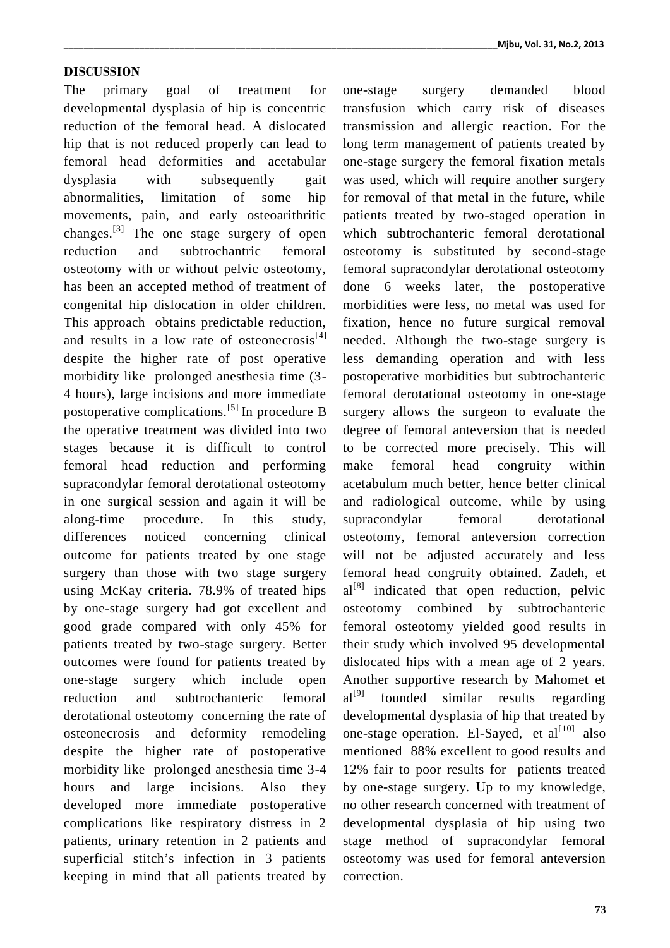### **DISCUSSION**

The primary goal of treatment for one-stage developmental dysplasia of hip is concentric reduction of the femoral head. A dislocated hip that is not reduced properly can lead to femoral head deformities and acetabular dysplasia with subsequently gait abnormalities, limitation of some hip movements, pain, and early osteoarithritic changes.<sup>[3]</sup> The one stage surgery of open which reduction and subtrochantric femoral osteotomy with or without pelvic osteotomy, has been an accepted method of treatment of congenital hip dislocation in older children. This approach obtains predictable reduction, and results in a low rate of osteonecrosis $[4]$ despite the higher rate of post operative morbidity like prolonged anesthesia time (3- 4 hours), large incisions and more immediate postoperative complications.[5] In procedure B the operative treatment was divided into two stages because it is difficult to control femoral head reduction and performing supracondylar femoral derotational osteotomy in one surgical session and again it will be along-time procedure. In this study, differences noticed concerning clinical outcome for patients treated by one stage surgery than those with two stage surgery using McKay criteria. 78.9% of treated hips by one-stage surgery had got excellent and good grade compared with only 45% for patients treated by two-stage surgery. Better outcomes were found for patients treated by one-stage surgery which include open reduction and subtrochanteric femoral derotational osteotomy concerning the rate of osteonecrosis and deformity remodeling despite the higher rate of postoperative morbidity like prolonged anesthesia time 3-4 hours and large incisions. Also they developed more immediate postoperative complications like respiratory distress in 2 patients, urinary retention in 2 patients and superficial stitch's infection in 3 patients keeping in mind that all patients treated by

surgery demanded blood transfusion which carry risk of diseases transmission and allergic reaction. For the long term management of patients treated by one-stage surgery the femoral fixation metals was used, which will require another surgery for removal of that metal in the future, while patients treated by two-staged operation in which subtrochanteric femoral derotational osteotomy is substituted by second-stage femoral supracondylar derotational osteotomy done 6 weeks later, the postoperative morbidities were less, no metal was used for fixation, hence no future surgical removal needed. Although the two-stage surgery is less demanding operation and with less postoperative morbidities but subtrochanteric femoral derotational osteotomy in one-stage surgery allows the surgeon to evaluate the degree of femoral anteversion that is needed to be corrected more precisely. This will femoral head congruity within acetabulum much better, hence better clinical and radiological outcome, while by using supracondylar femoral derotational osteotomy, femoral anteversion correction will not be adjusted accurately and less femoral head congruity obtained. Zadeh, et  $al^{[8]}$  indicated that open reduction, pelvic osteotomy combined by subtrochanteric femoral osteotomy yielded good results in their study which involved 95 developmental dislocated hips with a mean age of 2 years. Another supportive research by Mahomet et  $al^{[9]}$  founded similar results regarding developmental dysplasia of hip that treated by one-stage operation. El-Sayed, et  $al^{[10]}$  also mentioned 88% excellent to good results and 12% fair to poor results for patients treated by one-stage surgery. Up to my knowledge, no other research concerned with treatment of developmental dysplasia of hip using two stage method of supracondylar femoral osteotomy was used for femoral anteversion correction.